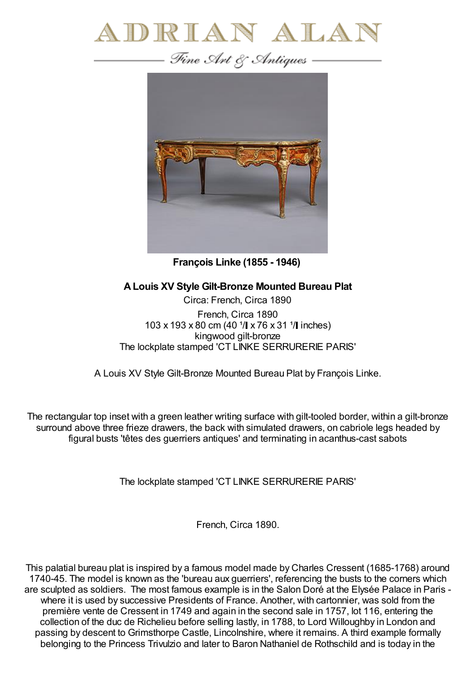



**François Linke (1855 - 1946)**

## **ALouis XV Style Gilt-Bronze Mounted Bureau Plat**

Circa: French, Circa 1890 French, Circa 1890 103 x 193 x 80 cm (40  $1/$  x 76 x 31  $1/$  inches) kingwood gilt-bronze The lockplate stamped 'CT LINKE SERRURERIE PARIS'

A Louis XV Style Gilt-Bronze Mounted Bureau Plat by François Linke.

The rectangular top inset with a green leather writing surface with gilt-tooled border, within a gilt-bronze surround above three frieze drawers, the back with simulated drawers, on cabriole legs headed by figural busts 'têtes des guerriers antiques' and terminating in acanthus-cast sabots

The lockplate stamped 'CT LINKE SERRURERIE PARIS'

French, Circa 1890.

This palatial bureau plat is inspired by a famous model made by Charles Cressent (1685-1768) around 1740-45. The model is known as the 'bureau aux guerriers', referencing the busts to the corners which are sculpted as soldiers. The most famous example is in the Salon Doré at the Elysée Palace in Paris where it is used by successive Presidents of France. Another, with cartonnier, was sold from the première vente de Cressent in 1749 and again in the second sale in 1757, lot 116, entering the collection of the duc de Richelieu before selling lastly, in 1788, to Lord Willoughby in London and passing by descent to Grimsthorpe Castle, Lincolnshire, where it remains. A third example formally belonging to the Princess Trivulzio and later to Baron Nathaniel de Rothschild and is today in the